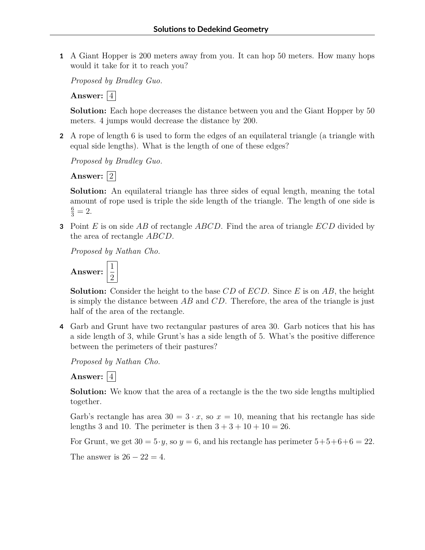**1** A Giant Hopper is 200 meters away from you. It can hop 50 meters. How many hops would it take for it to reach you?

*Proposed by Bradley Guo.*

Answer:  $|4|$ 

**Solution:** Each hope decreases the distance between you and the Giant Hopper by 50 meters. 4 jumps would decrease the distance by 200.

**2** A rope of length 6 is used to form the edges of an equilateral triangle (a triangle with equal side lengths). What is the length of one of these edges?

*Proposed by Bradley Guo.*

**Answer:** 2

**Solution:** An equilateral triangle has three sides of equal length, meaning the total amount of rope used is triple the side length of the triangle. The length of one side is  $\frac{6}{3} = 2.$ 

**3** Point *E* is on side *AB* of rectangle *ABCD*. Find the area of triangle *ECD* divided by the area of rectangle *ABCD*.

*Proposed by Nathan Cho.*

**Answer:**  $\frac{1}{2}$ 2

**Solution:** Consider the height to the base *CD* of *ECD*. Since *E* is on *AB*, the height is simply the distance between *AB* and *CD*. Therefore, the area of the triangle is just half of the area of the rectangle.

**4** Garb and Grunt have two rectangular pastures of area 30. Garb notices that his has a side length of 3, while Grunt's has a side length of 5. What's the positive difference between the perimeters of their pastures?

*Proposed by Nathan Cho.*

Answer:  $|4|$ 

**Solution:** We know that the area of a rectangle is the the two side lengths multiplied together.

Garb's rectangle has area  $30 = 3 \cdot x$ , so  $x = 10$ , meaning that his rectangle has side lengths 3 and 10. The perimeter is then  $3 + 3 + 10 + 10 = 26$ .

For Grunt, we get  $30 = 5 \cdot y$ , so  $y = 6$ , and his rectangle has perimeter  $5+5+6+6=22$ .

The answer is  $26 - 22 = 4$ .